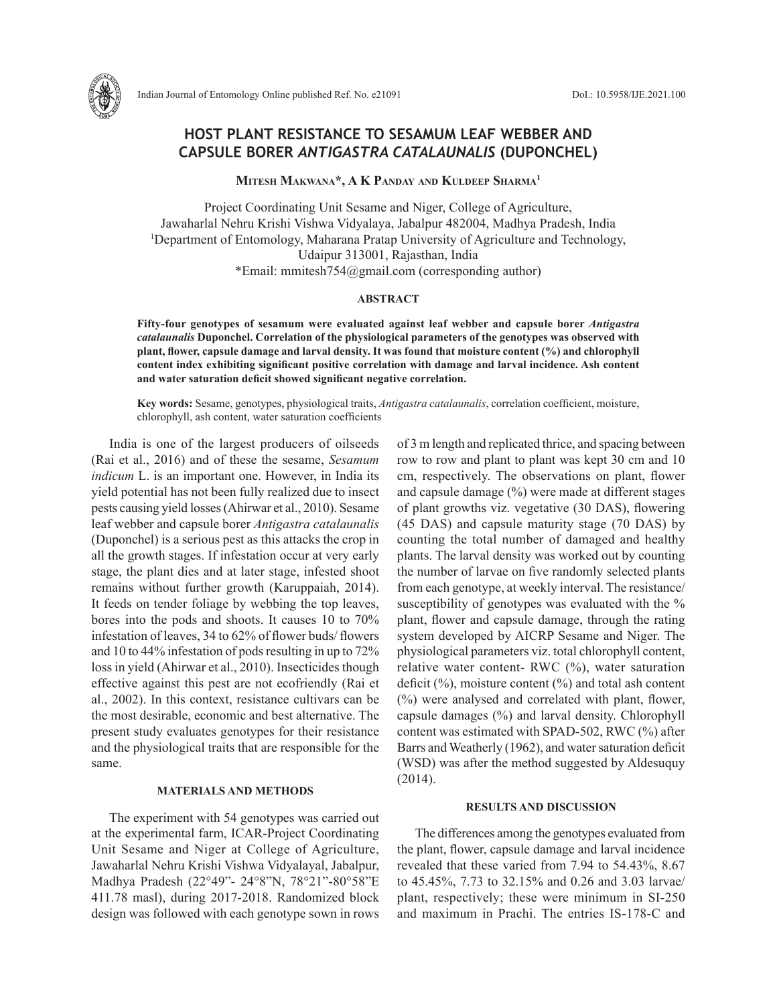

# **HOST PLANT RESISTANCE TO SESAMUM LEAF WEBBER AND CAPSULE BORER** *ANTIGASTRA CATALAUNALIS* **(DUPONCHEL)**

**Mitesh Makwana\*, A K Panday and Kuldeep Sharma1**

Project Coordinating Unit Sesame and Niger, College of Agriculture, Jawaharlal Nehru Krishi Vishwa Vidyalaya, Jabalpur 482004, Madhya Pradesh, India <sup>1</sup>Department of Entomology, Maharana Pratap University of Agriculture and Technology, Udaipur 313001, Rajasthan, India \*Email: mmitesh754@gmail.com (corresponding author)

## **ABSTRACT**

**Fifty-four genotypes of sesamum were evaluated against leaf webber and capsule borer** *Antigastra catalaunalis* **Duponchel. Correlation of the physiological parameters of the genotypes was observed with plant, flower, capsule damage and larval density. It was found that moisture content (%) and chlorophyll content index exhibiting significant positive correlation with damage and larval incidence. Ash content and water saturation deficit showed significant negative correlation.** 

**Key words:** Sesame, genotypes, physiological traits, *Antigastra catalaunalis*, correlation coefficient, moisture, chlorophyll, ash content, water saturation coefficients

India is one of the largest producers of oilseeds (Rai et al., 2016) and of these the sesame, *Sesamum indicum* L. is an important one. However, in India its yield potential has not been fully realized due to insect pests causing yield losses (Ahirwar et al., 2010). Sesame leaf webber and capsule borer *Antigastra catalaunalis* (Duponchel) is a serious pest as this attacks the crop in all the growth stages. If infestation occur at very early stage, the plant dies and at later stage, infested shoot remains without further growth (Karuppaiah, 2014). It feeds on tender foliage by webbing the top leaves, bores into the pods and shoots. It causes 10 to 70% infestation of leaves, 34 to 62% of flower buds/ flowers and 10 to 44% infestation of pods resulting in up to 72% loss in yield (Ahirwar et al., 2010). Insecticides though effective against this pest are not ecofriendly (Rai et al., 2002). In this context, resistance cultivars can be the most desirable, economic and best alternative. The present study evaluates genotypes for their resistance and the physiological traits that are responsible for the same.

### **MATERIALS AND METHODS**

The experiment with 54 genotypes was carried out at the experimental farm, ICAR-Project Coordinating Unit Sesame and Niger at College of Agriculture, Jawaharlal Nehru Krishi Vishwa Vidyalayal, Jabalpur, Madhya Pradesh (22°49"- 24°8"N, 78°21"-80°58"E 411.78 masl), during 2017-2018. Randomized block design was followed with each genotype sown in rows of 3 m length and replicated thrice, and spacing between row to row and plant to plant was kept 30 cm and 10 cm, respectively. The observations on plant, flower and capsule damage (%) were made at different stages of plant growths viz. vegetative (30 DAS), flowering (45 DAS) and capsule maturity stage (70 DAS) by counting the total number of damaged and healthy plants. The larval density was worked out by counting the number of larvae on five randomly selected plants from each genotype, at weekly interval. The resistance/ susceptibility of genotypes was evaluated with the % plant, flower and capsule damage, through the rating system developed by AICRP Sesame and Niger. The physiological parameters viz. total chlorophyll content, relative water content- RWC (%), water saturation deficit (%), moisture content (%) and total ash content (%) were analysed and correlated with plant, flower, capsule damages (%) and larval density. Chlorophyll content was estimated with SPAD-502, RWC (%) after Barrs and Weatherly (1962), and water saturation deficit (WSD) was after the method suggested by Aldesuquy (2014).

#### **RESULTS AND DISCUSSION**

The differences among the genotypes evaluated from the plant, flower, capsule damage and larval incidence revealed that these varied from 7.94 to 54.43%, 8.67 to 45.45%, 7.73 to 32.15% and 0.26 and 3.03 larvae/ plant, respectively; these were minimum in SI-250 and maximum in Prachi. The entries IS-178-C and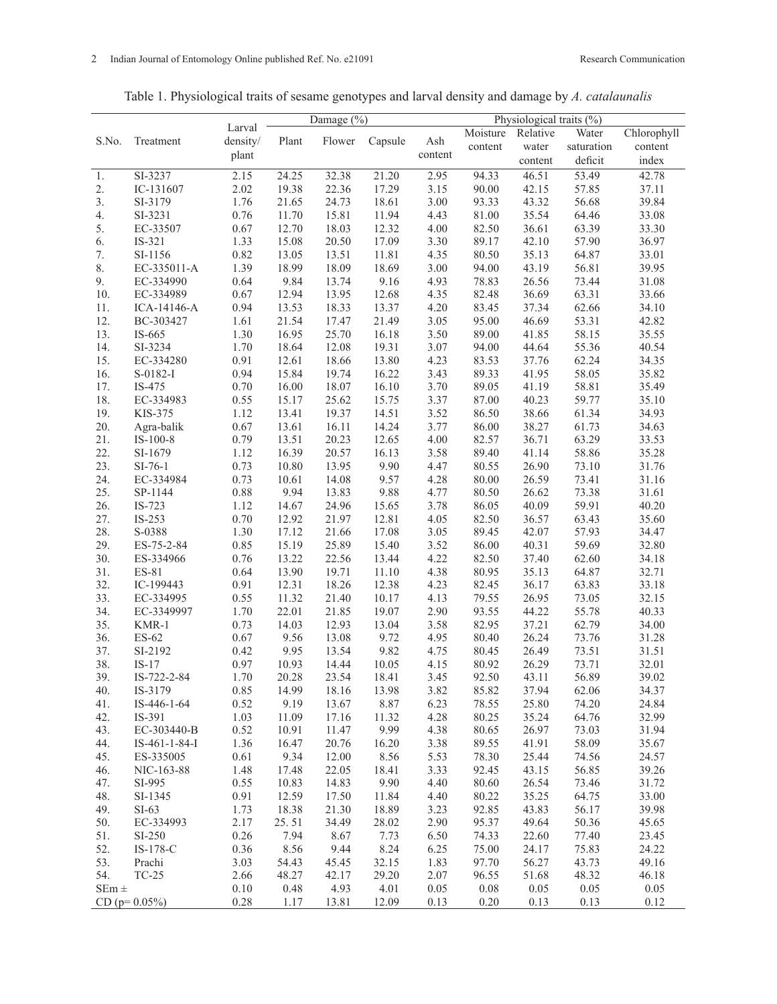| Table 1. Physiological traits of sesame genotypes and larval density and damage by A. catalaunalis |  |  |
|----------------------------------------------------------------------------------------------------|--|--|
|                                                                                                    |  |  |

|           |                 |          | Damage (%) |        |         | Physiological traits (%) |          |                   |            |             |
|-----------|-----------------|----------|------------|--------|---------|--------------------------|----------|-------------------|------------|-------------|
|           |                 | Larval   |            |        |         |                          | Moisture | Relative          | Water      | Chlorophyll |
| S.No.     | Treatment       | density/ | Plant      | Flower | Capsule | Ash                      | content  | water             | saturation | content     |
|           |                 | plant    |            |        |         | content                  |          | content           | deficit    | index       |
| 1.        | SI-3237         | 2.15     | 24.25      | 32.38  | 21.20   | 2.95                     | 94.33    | $\frac{46.51}{9}$ | 53.49      | 42.78       |
| 2.        | IC-131607       | 2.02     | 19.38      | 22.36  | 17.29   | 3.15                     | 90.00    | 42.15             | 57.85      | 37.11       |
| 3.        | SI-3179         | 1.76     | 21.65      | 24.73  | 18.61   | 3.00                     | 93.33    | 43.32             | 56.68      | 39.84       |
| 4.        | SI-3231         | 0.76     | 11.70      | 15.81  | 11.94   | 4.43                     | 81.00    | 35.54             | 64.46      | 33.08       |
| 5.        | EC-33507        | 0.67     | 12.70      | 18.03  | 12.32   | 4.00                     | 82.50    | 36.61             | 63.39      | 33.30       |
|           |                 |          |            | 20.50  |         |                          |          |                   | 57.90      |             |
| 6.        | IS-321          | 1.33     | 15.08      |        | 17.09   | 3.30                     | 89.17    | 42.10             |            | 36.97       |
| 7.        | SI-1156         | 0.82     | 13.05      | 13.51  | 11.81   | 4.35                     | 80.50    | 35.13             | 64.87      | 33.01       |
| 8.        | EC-335011-A     | 1.39     | 18.99      | 18.09  | 18.69   | 3.00                     | 94.00    | 43.19             | 56.81      | 39.95       |
| 9.        | EC-334990       | 0.64     | 9.84       | 13.74  | 9.16    | 4.93                     | 78.83    | 26.56             | 73.44      | 31.08       |
| 10.       | EC-334989       | 0.67     | 12.94      | 13.95  | 12.68   | 4.35                     | 82.48    | 36.69             | 63.31      | 33.66       |
| 11.       | ICA-14146-A     | 0.94     | 13.53      | 18.33  | 13.37   | 4.20                     | 83.45    | 37.34             | 62.66      | 34.10       |
| 12.       | BC-303427       | 1.61     | 21.54      | 17.47  | 21.49   | 3.05                     | 95.00    | 46.69             | 53.31      | 42.82       |
| 13.       | IS-665          | 1.30     | 16.95      | 25.70  | 16.18   | 3.50                     | 89.00    | 41.85             | 58.15      | 35.55       |
| 14.       | SI-3234         | 1.70     | 18.64      | 12.08  | 19.31   | 3.07                     | 94.00    | 44.64             | 55.36      | 40.54       |
| 15.       | EC-334280       | 0.91     | 12.61      | 18.66  | 13.80   | 4.23                     | 83.53    | 37.76             | 62.24      | 34.35       |
| 16.       | S-0182-I        | 0.94     | 15.84      | 19.74  | 16.22   | 3.43                     | 89.33    | 41.95             | 58.05      | 35.82       |
| 17.       | IS-475          | 0.70     | 16.00      | 18.07  | 16.10   | 3.70                     | 89.05    | 41.19             | 58.81      | 35.49       |
| 18.       | EC-334983       | 0.55     | 15.17      | 25.62  | 15.75   | 3.37                     | 87.00    | 40.23             | 59.77      | 35.10       |
| 19.       | KIS-375         | 1.12     | 13.41      | 19.37  | 14.51   | 3.52                     | 86.50    | 38.66             | 61.34      | 34.93       |
| 20.       | Agra-balik      | 0.67     | 13.61      | 16.11  | 14.24   | 3.77                     | 86.00    | 38.27             | 61.73      | 34.63       |
| 21.       | $IS-100-8$      | 0.79     | 13.51      | 20.23  | 12.65   | 4.00                     | 82.57    | 36.71             | 63.29      | 33.53       |
| 22.       | SI-1679         | 1.12     | 16.39      | 20.57  | 16.13   | 3.58                     | 89.40    | 41.14             | 58.86      | 35.28       |
| 23.       | $SI-76-1$       | 0.73     | 10.80      | 13.95  | 9.90    | 4.47                     | 80.55    | 26.90             | 73.10      | 31.76       |
| 24.       | EC-334984       | 0.73     | 10.61      | 14.08  | 9.57    | 4.28                     | 80.00    | 26.59             | 73.41      | 31.16       |
| 25.       | SP-1144         | 0.88     | 9.94       | 13.83  | 9.88    | 4.77                     | 80.50    | 26.62             | 73.38      | 31.61       |
| 26.       | IS-723          | 1.12     | 14.67      | 24.96  | 15.65   | 3.78                     | 86.05    | 40.09             | 59.91      | 40.20       |
| 27.       | IS-253          | 0.70     | 12.92      | 21.97  | 12.81   | 4.05                     | 82.50    | 36.57             | 63.43      | 35.60       |
| 28.       | S-0388          | 1.30     | 17.12      | 21.66  | 17.08   | 3.05                     | 89.45    | 42.07             | 57.93      | 34.47       |
| 29.       | ES-75-2-84      | 0.85     | 15.19      | 25.89  | 15.40   | 3.52                     | 86.00    | 40.31             | 59.69      | 32.80       |
| 30.       | ES-334966       | 0.76     | 13.22      | 22.56  | 13.44   | 4.22                     | 82.50    | 37.40             | 62.60      | 34.18       |
| 31.       | ES-81           | 0.64     | 13.90      | 19.71  | 11.10   | 4.38                     | 80.95    | 35.13             | 64.87      | 32.71       |
| 32.       | IC-199443       | 0.91     | 12.31      | 18.26  | 12.38   | 4.23                     | 82.45    | 36.17             | 63.83      | 33.18       |
| 33.       | EC-334995       | 0.55     | 11.32      | 21.40  | 10.17   | 4.13                     | 79.55    | 26.95             | 73.05      | 32.15       |
| 34.       | EC-3349997      | 1.70     | 22.01      | 21.85  | 19.07   | 2.90                     | 93.55    | 44.22             | 55.78      | 40.33       |
| 35.       | KMR-1           | 0.73     | 14.03      | 12.93  | 13.04   | 3.58                     | 82.95    | 37.21             | 62.79      | 34.00       |
| 36.       | ES-62           | 0.67     | 9.56       | 13.08  | 9.72    | 4.95                     | 80.40    | 26.24             | 73.76      | 31.28       |
| 37.       | SI-2192         | 0.42     | 9.95       | 13.54  | 9.82    | 4.75                     | 80.45    | 26.49             | 73.51      | 31.51       |
| 38.       | $IS-17$         | 0.97     | 10.93      | 14.44  | 10.05   | 4.15                     | 80.92    | 26.29             | 73.71      | 32.01       |
| 39.       | IS-722-2-84     | 1.70     | 20.28      | 23.54  | 18.41   | 3.45                     | 92.50    | 43.11             | 56.89      | 39.02       |
| 40.       | IS-3179         | 0.85     | 14.99      | 18.16  | 13.98   | 3.82                     | 85.82    | 37.94             | 62.06      | 34.37       |
| 41.       | IS-446-1-64     | 0.52     | 9.19       | 13.67  | 8.87    | 6.23                     | 78.55    | 25.80             | 74.20      | 24.84       |
| 42.       | IS-391          | 1.03     | 11.09      | 17.16  | 11.32   | 4.28                     | 80.25    | 35.24             | 64.76      | 32.99       |
| 43.       | EC-303440-B     | 0.52     | 10.91      | 11.47  | 9.99    | 4.38                     | 80.65    | 26.97             | 73.03      | 31.94       |
| 44.       | IS-461-1-84-I   | 1.36     | 16.47      | 20.76  | 16.20   | 3.38                     | 89.55    | 41.91             | 58.09      | 35.67       |
| 45.       | ES-335005       | 0.61     | 9.34       | 12.00  | 8.56    | 5.53                     | 78.30    | 25.44             | 74.56      | 24.57       |
| 46.       | NIC-163-88      | 1.48     | 17.48      | 22.05  | 18.41   | 3.33                     | 92.45    | 43.15             | 56.85      | 39.26       |
| 47.       | SI-995          | 0.55     | 10.83      | 14.83  | 9.90    | 4.40                     | 80.60    | 26.54             | 73.46      | 31.72       |
| 48.       | SI-1345         | 0.91     | 12.59      | 17.50  | 11.84   | 4.40                     | 80.22    | 35.25             | 64.75      | 33.00       |
| 49.       | $SI-63$         | 1.73     | 18.38      | 21.30  | 18.89   | 3.23                     | 92.85    | 43.83             | 56.17      | 39.98       |
| 50.       | EC-334993       | 2.17     | 25.51      | 34.49  | 28.02   | 2.90                     | 95.37    | 49.64             | 50.36      | 45.65       |
| 51.       | SI-250          | 0.26     | 7.94       | 8.67   | 7.73    | 6.50                     | 74.33    | 22.60             | 77.40      | 23.45       |
| 52.       | IS-178-C        | 0.36     | 8.56       | 9.44   | 8.24    | 6.25                     | 75.00    | 24.17             | 75.83      | 24.22       |
| 53.       | Prachi          | 3.03     | 54.43      | 45.45  | 32.15   | 1.83                     | 97.70    | 56.27             | 43.73      | 49.16       |
| 54.       | $TC-25$         | 2.66     | 48.27      | 42.17  | 29.20   | 2.07                     | 96.55    | 51.68             | 48.32      | 46.18       |
| $SEm \pm$ |                 | 0.10     | 0.48       | 4.93   | 4.01    | 0.05                     | 0.08     | 0.05              | 0.05       | 0.05        |
|           | $CD (p=0.05\%)$ | 0.28     | 1.17       | 13.81  | 12.09   | 0.13                     | 0.20     | 0.13              | 0.13       | 0.12        |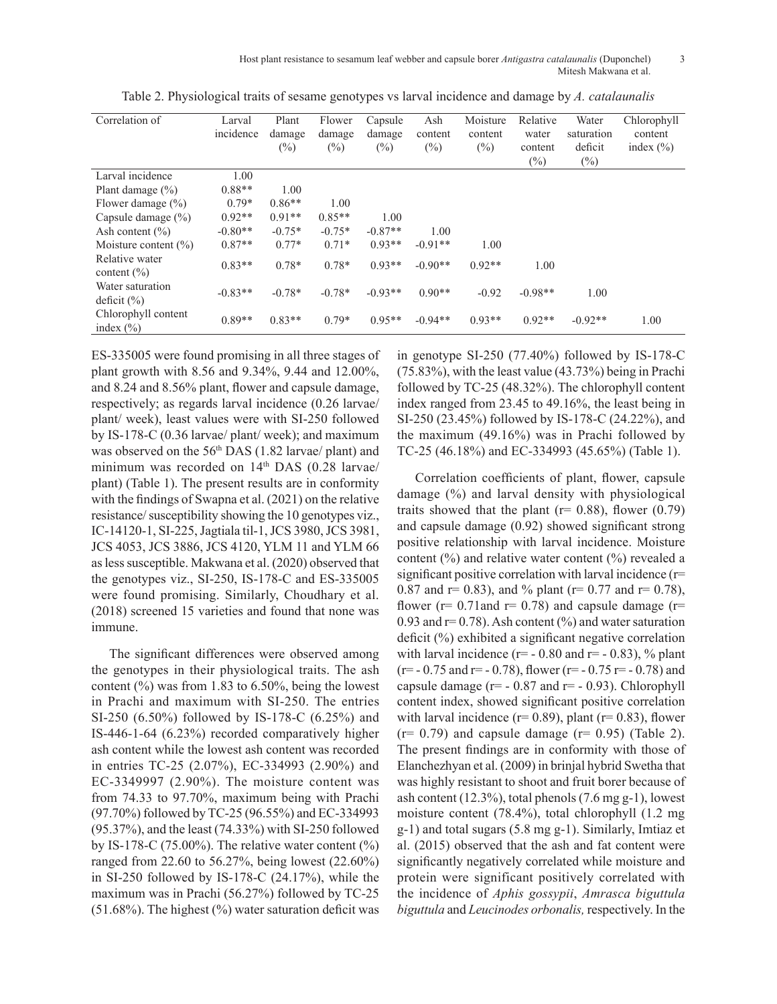Host plant resistance to sesamum leaf webber and capsule borer *Antigastra catalaunalis* (Duponchel) 3 Mitesh Makwana et al.

| Correlation of                       | Larval<br>incidence | Plant<br>damage | Flower<br>damage | Capsule<br>damage | Ash<br>content | Moisture<br>content | Relative<br>water | Water<br>saturation | Chlorophyll<br>content |
|--------------------------------------|---------------------|-----------------|------------------|-------------------|----------------|---------------------|-------------------|---------------------|------------------------|
|                                      |                     | $(\%)$          | (%)              | $(\%)$            | $(\%)$         | $(\%)$              | content           | deficit             | index $(\% )$          |
|                                      |                     |                 |                  |                   |                |                     | $(\%)$            | $(\%)$              |                        |
| Larval incidence                     | 1.00                |                 |                  |                   |                |                     |                   |                     |                        |
| Plant damage $(\% )$                 | $0.88**$            | 1.00            |                  |                   |                |                     |                   |                     |                        |
| Flower damage $(\% )$                | $0.79*$             | $0.86**$        | 1.00             |                   |                |                     |                   |                     |                        |
| Capsule damage $(\% )$               | $0.92**$            | $0.91**$        | $0.85**$         | 1.00              |                |                     |                   |                     |                        |
| Ash content $(\% )$                  | $-0.80**$           | $-0.75*$        | $-0.75*$         | $-0.87**$         | 1.00           |                     |                   |                     |                        |
| Moisture content $(\% )$             | $0.87**$            | $0.77*$         | $0.71*$          | $0.93**$          | $-0.91**$      | 1.00                |                   |                     |                        |
| Relative water<br>content $(\% )$    | $0.83**$            | $0.78*$         | $0.78*$          | $0.93**$          | $-0.90**$      | $0.92**$            | 1.00              |                     |                        |
| Water saturation<br>deficit $(\% )$  | $-0.83**$           | $-0.78*$        | $-0.78*$         | $-0.93**$         | $0.90**$       | $-0.92$             | $-0.98**$         | 1.00                |                        |
| Chlorophyll content<br>index $(\% )$ | $0.89**$            | $0.83**$        | $0.79*$          | $0.95**$          | $-0.94**$      | $0.93**$            | $0.92**$          | $-0.92**$           | 1.00                   |

Table 2. Physiological traits of sesame genotypes vs larval incidence and damage by *A. catalaunalis*

ES-335005 were found promising in all three stages of plant growth with 8.56 and 9.34%, 9.44 and 12.00%, and 8.24 and 8.56% plant, flower and capsule damage, respectively; as regards larval incidence (0.26 larvae/ plant/ week), least values were with SI-250 followed by IS-178-C (0.36 larvae/ plant/ week); and maximum was observed on the  $56<sup>th</sup> DAS$  (1.82 larvae/ plant) and minimum was recorded on 14th DAS (0.28 larvae/ plant) (Table 1). The present results are in conformity with the findings of Swapna et al. (2021) on the relative resistance/ susceptibility showing the 10 genotypes viz., IC-14120-1, SI-225, Jagtiala til-1, JCS 3980, JCS 3981, JCS 4053, JCS 3886, JCS 4120, YLM 11 and YLM 66 as less susceptible. Makwana et al. (2020) observed that the genotypes viz., SI-250, IS-178-C and ES-335005 were found promising. Similarly, Choudhary et al. (2018) screened 15 varieties and found that none was immune.

The significant differences were observed among the genotypes in their physiological traits. The ash content  $\frac{6}{6}$  was from 1.83 to 6.50%, being the lowest in Prachi and maximum with SI-250. The entries SI-250 (6.50%) followed by IS-178-C (6.25%) and IS-446-1-64 (6.23%) recorded comparatively higher ash content while the lowest ash content was recorded in entries TC-25 (2.07%), EC-334993 (2.90%) and EC-3349997 (2.90%). The moisture content was from 74.33 to 97.70%, maximum being with Prachi (97.70%) followed by TC-25 (96.55%) and EC-334993 (95.37%), and the least (74.33%) with SI-250 followed by IS-178-C (75.00%). The relative water content  $(\%)$ ranged from 22.60 to 56.27%, being lowest (22.60%) in SI-250 followed by IS-178-C (24.17%), while the maximum was in Prachi (56.27%) followed by TC-25  $(51.68\%)$ . The highest  $(\% )$  water saturation deficit was

in genotype SI-250 (77.40%) followed by IS-178-C (75.83%), with the least value (43.73%) being in Prachi followed by TC-25 (48.32%). The chlorophyll content index ranged from 23.45 to 49.16%, the least being in SI-250 (23.45%) followed by IS-178-C (24.22%), and the maximum (49.16%) was in Prachi followed by TC-25 (46.18%) and EC-334993 (45.65%) (Table 1).

Correlation coefficients of plant, flower, capsule damage (%) and larval density with physiological traits showed that the plant ( $r= 0.88$ ), flower (0.79) and capsule damage (0.92) showed significant strong positive relationship with larval incidence. Moisture content (%) and relative water content (%) revealed a significant positive correlation with larval incidence (r= 0.87 and  $r= 0.83$ ), and % plant ( $r= 0.77$  and  $r= 0.78$ ), flower ( $r= 0.71$ and  $r= 0.78$ ) and capsule damage ( $r=$ 0.93 and  $r=0.78$ ). Ash content (%) and water saturation deficit (%) exhibited a significant negative correlation with larval incidence ( $r=$  - 0.80 and  $r=$  - 0.83), % plant  $(r=- 0.75$  and  $r=- 0.78$ ), flower  $(r=- 0.75$   $r=- 0.78)$  and capsule damage  $(r= -0.87$  and  $r= -0.93$ ). Chlorophyll content index, showed significant positive correlation with larval incidence ( $r= 0.89$ ), plant ( $r= 0.83$ ), flower  $(r= 0.79)$  and capsule damage  $(r= 0.95)$  (Table 2). The present findings are in conformity with those of Elanchezhyan et al. (2009) in brinjal hybrid Swetha that was highly resistant to shoot and fruit borer because of ash content (12.3%), total phenols (7.6 mg g-1), lowest moisture content (78.4%), total chlorophyll (1.2 mg g-1) and total sugars (5.8 mg g-1). Similarly, Imtiaz et al. (2015) observed that the ash and fat content were significantly negatively correlated while moisture and protein were significant positively correlated with the incidence of *Aphis gossypii*, *Amrasca biguttula biguttula* and *Leucinodes orbonalis,* respectively. In the